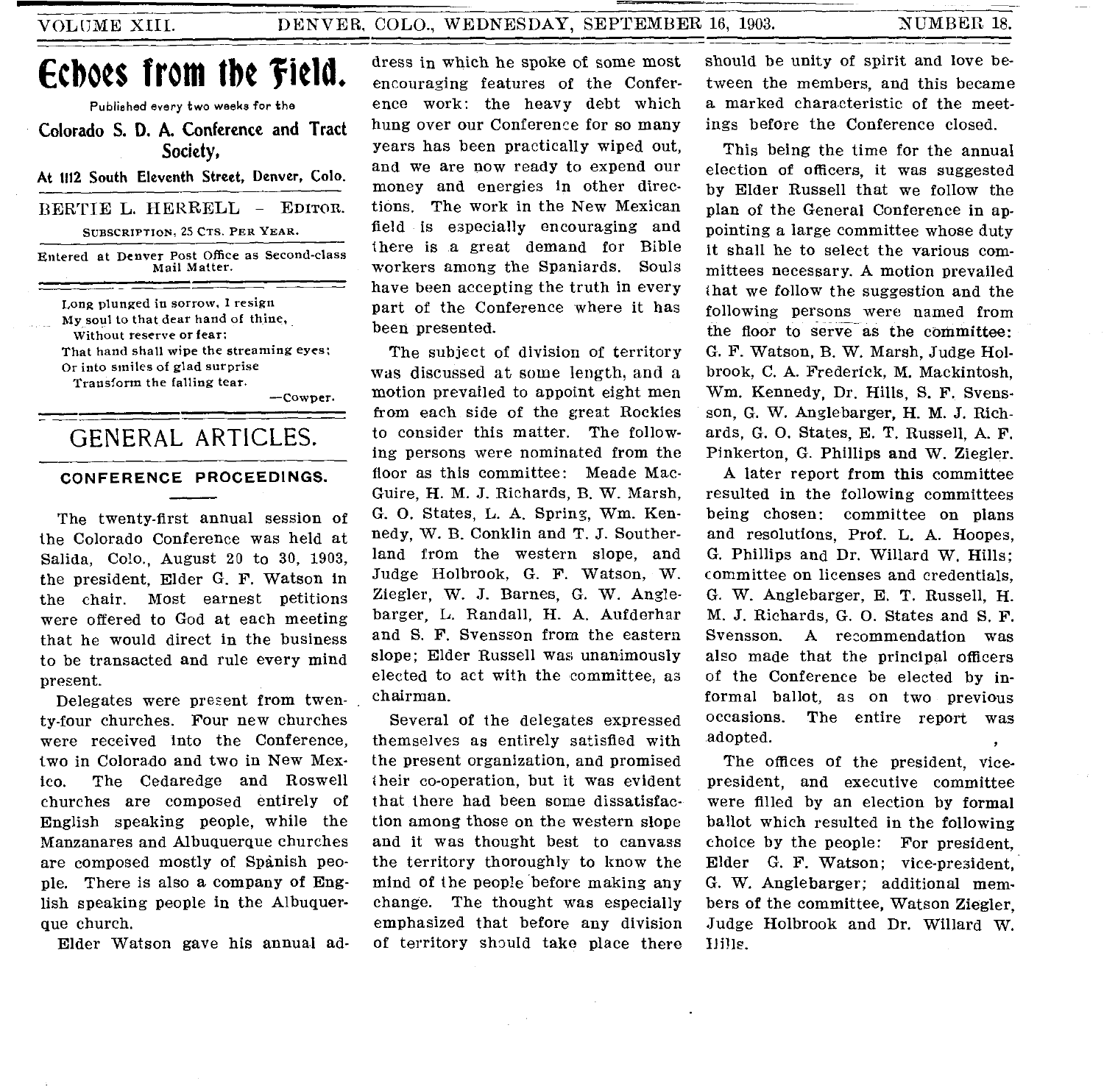# **Echoes from the 'field.**

Published every two weeks for the

Colorado S. D. A. Conference and Tract Society,

At 1112 South Eleventh Street, Denver, Colo.

BERTIE L. HERRELL — EDITOR.

SUBSCRIPTION, 25 CTS. PER YEAR.

Entered at Denver Post Office as Second-class Mail Matter.

Long plunged in sorrow, I resign My soul to that dear hand of thine, Without reserve or fear: That hand shall wipe the streaming eyes: Or into smiles of glad surprise Transform the falling tear.

—Cowper.

# GENERAL ARTICLES.

#### **CONFERENCE PROCEEDINGS.**

The twenty-first annual session of the Colorado Conference was held at Salida, Colo., August 20 to 30, 1903, the president, Elder G. F. Watson in the chair. Most earnest petitions were offered to God at each meeting that he would direct in the business to be transacted and rule every mind present.

Delegates were present from twenty-four churches. Four new churches were received into the Conference, two in Colorado and two in New Mexico. The Cedaredge and Roswell churches are composed entirely of English speaking people, while the Manzanares and Albuquerque churches are composed mostly of Spanish people. There is also a company of English speaking people in the Albuquerque church.

Elder Watson gave his annual ad-

dress in which he spoke of some most encouraging features of the Conference work: the heavy debt which hung over our Conference for so many years has been practically wiped out, and we are now ready to expend our money and energies in other directions. The work in the New Mexican field is especially encouraging and there is a great demand for Bible workers among the Spaniards. Souls have been accepting the truth in every part of the Conference where it has been presented.

The subject of division of territory was discussed at some length, and a motion prevailed to appoint eight men from each side of the great Rockies to consider this matter. The following persons were nominated from the floor as this committee: Meade Mac-Guire, H. M. J. Richards, B. W. Marsh, G. 0. States, L. A. Spring, Wm. Kennedy, W. B. Conklin and T. J. Southerland from the western slope, and Judge Holbrook, G. F. Watson, W. Ziegler, W. J. Barnes, G. W. Anglebarger, L. Randall, H. A. Aufderhar and S. F. Svensson from the eastern slope; Elder Russell was unanimously elected to act with the committee, as chairman.

Several of the delegates expressed themselves as entirely satisfied with the present organization, and promised their co-operation, but it was evident that there had been some dissatisfaction among those on the western slope and it was thought best to canvass the territory thoroughly to know the mind of the people before making any change. The thought was especially emphasized that before any division of territory should take place there

should be unity of spirit and love between the members, and this became a marked characteristic of the meetings before the Conference closed.

This being the time for the annual election of officers, it was suggested by Elder Russell that we follow the plan of the General Conference in appointing a large committee whose duty it shall he to select the various committees necessary. A motion prevailed that we follow the suggestion and the following persons were named from the floor to serve as the committee: G. F. Watson, B. W. Marsh, Judge Holbrook, C. A. Frederick, M. Mackintosh, Wm. Kennedy, Dr. Hills, S. F. Svensson, G. W. Anglebarger, H. M. J. Richards, G. 0. States, E. T. Russell, A. F. Pinkerton, G. Phillips and W. Ziegler.

A later report from this committee resulted in the following committees being chosen: committee on plans and resolutions, Prof. L. A. Hoopes, G. Phillips and Dr. Willard W. Hills; committee on licenses and credentials, G. W. Anglebarger, E. T. Russell, H. M. J. Richards, G. 0. States and S. F. Svensson. A recommendation was also made that the principal officers of the Conference be elected by informal ballot, as on two previous occasions. The entire report was adopted.

The offices of the president, vicepresident, and executive committee were filled by an election by formal ballot which resulted in the following choice by the people: For president, Elder G. F. Watson; vice-president, G. W. Anglebarger; additional members of the committee, Watson Ziegler, Judge Holbrook and Dr. Willard W. Dills.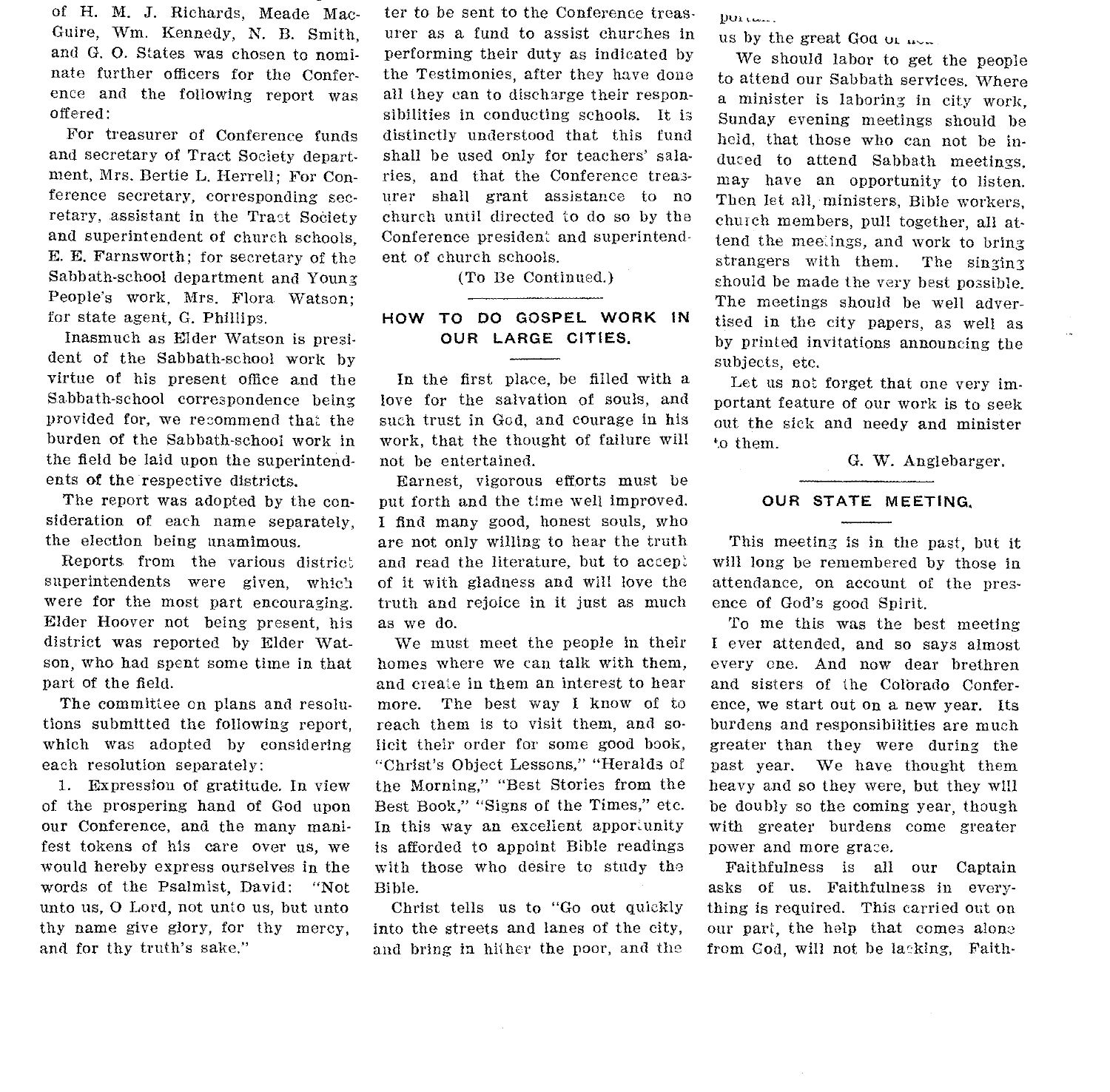of H. M. J. Richards, Meade Mac-Guire, Wm. Kennedy, N. B. Smith, and G. 0. States was chosen to nominate further officers for the Conference and the following report was offered:

For treasurer of Conference funds and secretary of Tract Society department, Mrs. Bertie L. Herrell; For Conference secretary, corresponding secretary, assistant in the Tract Society and superintendent of church schools. E. E. Farnsworth; for secretary of the Sabbath-school department and Young People's work, Mrs. Flora Watson; for state agent, G. Phillips.

Inasmuch as Elder Watson is president of the Sabbath-school work by virtue of his present office and the Sabbath-school correspondence being provided for, we recommend that the burden of the Sabbath-school work in the field be laid upon the superintendents of the respective districts.

The report was adopted by the consideration of each name separately, the election being unamimous.

Reports from the various district superintendents were given, which were for the most part encouraging. Elder Hoover not being present, his district was reported by Elder Watson, who had spent some time in that part of the field.

The committee on plans and resolutions submitted the following report, which was adopted by considering each resolution separately:

I. Expression of gratitude. In view of the prospering hand of God upon our Conference, and the many manifest tokens of his care over us, we would hereby express ourselves in the words of the Psalmist, David: "Not unto us, 0 Lord, not unto us, but unto thy name give glory, for thy mercy, and for thy truth's sake."

ter to be sent to the Conference treasurer as a fund to assist churches in performing their duty as indicated by the Testimonies, after they have done all they can to discharge their responsibilities in conducting schools. It is distinctly understood that this fund shall be used only for teachers' salaries, and that the Conference treasurer shall grant assistance to no church until directed to do so by the Conference president and superintendent of church schools.

(To Be Continued.)

#### HOW TO DO GOSPEL WORK IN OUR LARGE CITIES.

In the first place, be filled with a love for the salvation of souls, and such trust in God, and courage in his work, that the thought of failure will not be entertained.

Earnest, vigorous efforts must be put forth and the time well improved. I find many good, honest souls, who are not only willing to hear the truth and read the literature, but to accept of it with gladness and will love the truth and rejoice in it just as much as we do.

We must meet the people in their homes where we can talk with them, and create in them an interest to hear more. The best way I know of to reach them is to visit them, and solicit their order for some good book, "Christ's Object Lessons," "Heralds of the Morning," "Best Stories from the Best Book," "Signs of the Times," etc. In this way an excellent apportunity is afforded to appoint Bible readings with those who desire to study the Bible.

Christ tells us to "Go out quickly into the streets and lanes of the city, and bring in hither the poor, and the

 $DQ$ <sub>k</sub> $C$ <sub>k</sub> $C$ <sub>k</sub> $C$ <sub>k</sub> $C$ <sub>k</sub> $C$ <sub>k</sub> $C$ <sub>k</sub> $C$ <sub>k</sub> $C$ <sub>k</sub> $C$ <sub>k</sub> $C$ <sub>k</sub> $C$ <sub>k</sub> $C$ <sub>k</sub> $C$ <sub>k</sub> $C$ <sub>k</sub> $C$ <sub>k</sub> $C$ <sub>k</sub> $C$ <sub>k</sub> $C$ <sub>k</sub> $C$ <sub>k</sub> $C$ <sub>k</sub> $C$ <sub>k</sub> $C$ <sub>k</sub> $C$ <sub>k</sub> $C$ <sub>k</sub> $C$ <sub>k</sub> $C$ <sub>k</sub> $C$ <sub>k</sub> $C$ <sub>k</sub> $C$ <sub>k</sub> $C$ <sub>k</sub> $C$ <sub>k</sub> $C$ <sub>k</sub> $C$ <sub>k</sub> $C$ <sub>k</sub> $C$ <sub>k</sub> $C$ <sub></sub>

us by the great God  $\mu$   $\mu$ 

We should labor to get the people to attend our Sabbath services. Where a minister is laboring in city work, Sunday evening meetings should be held, that those who can not be induced to attend Sabbath meetings, may have an opportunity to listen. Then let all, ministers, Bible workers, church members, pull together, all attend the meetings, and work to bring strangers with them. The singing should be made the very best possible. The meetings should be well advertised in the city papers, as well as by printed invitations announcing the subjects, etc.

Let us not forget that one very important feature of our work is to seek out the sick and needy and minister to them.

G. W. Anglebarger.

#### OUR STATE MEETING.

This meeting is in the past, but it will long be remembered by those in attendance, on account of the presence of God's good Spirit.

To me this was the best meeting I ever attended, and so says almost every one. And now dear brethren and sisters of the Colbrado Conference, we start out on a new year. Its burdens and responsibilities are much greater than they were during the past year. We have thought them heavy and so they were, but they will be doubly so the coming year, though with greater burdens come greater power and more grace.

Faithfulness is all our Captain asks of us. Faithfulness in everything is required. This carried out on our part, the help that comes alone from God, will not be lacking, Faith-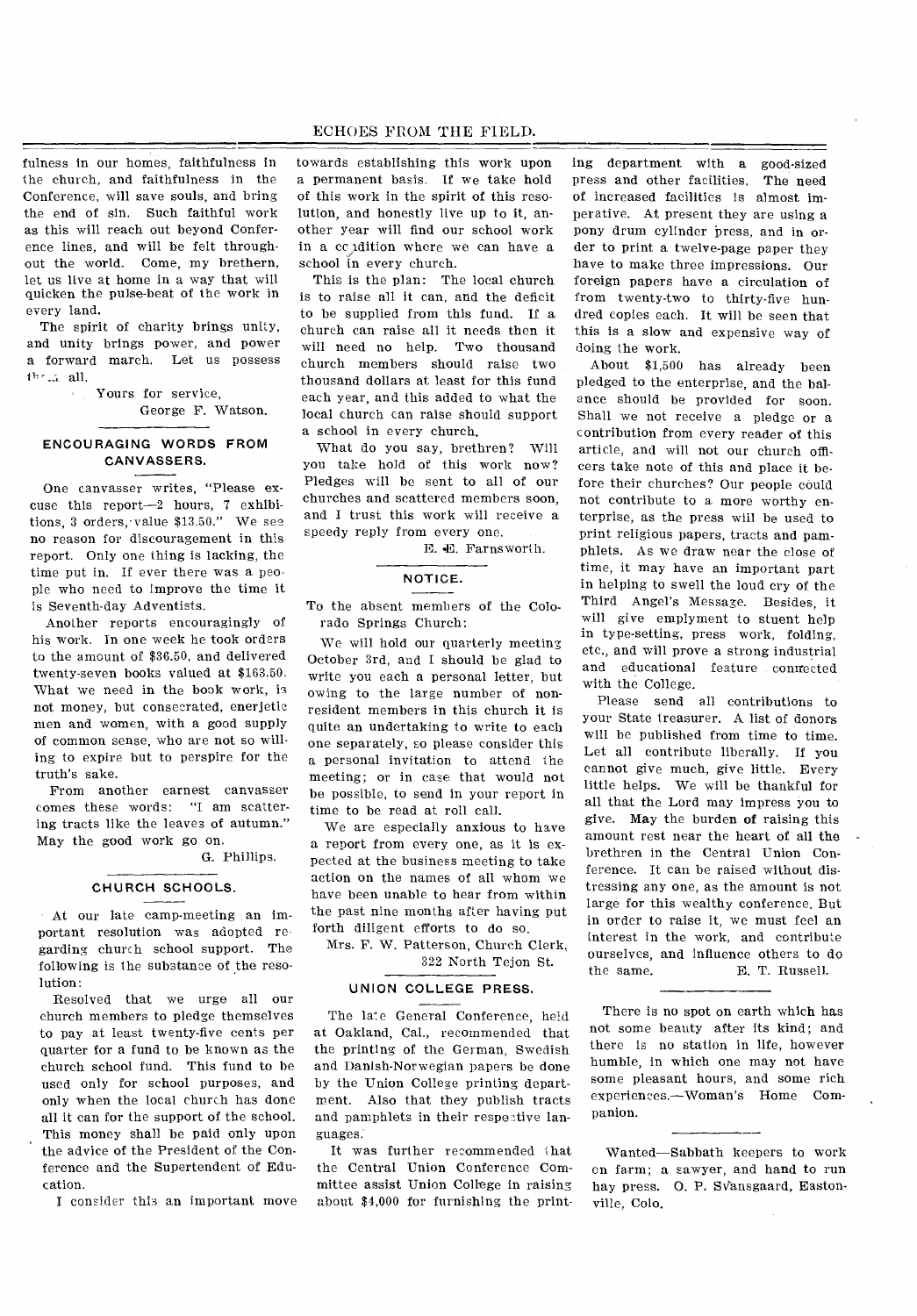### ECHOES FROM THE FIELD.

fulness in our homes, faithfulness in the church, and faithfulness in the Conference, will save souls, and bring the end of sin. Such faithful work as this will reach out beyond Conference lines, and will be felt throughout the world. Come, my brethern, let us live at home in a way that will quicken the pulse-beat of the work in every land.

The spirit of charity brings unity, and unity brings power, and power a forward march. Let us possess all.

> Yours for service, George F. Watson.

## ENCOURAGING WORDS FROM CANVASSERS.

One canvasser writes, "Please excuse this report-2 hours, 7 exhibitions, 3 orders, value \$13.50." We see no reason for discouragement in this report. Only one thing is lacking, the time put in. If ever there was a people who need to improve the time it is Seventh-day Adventists.

Another reports encouragingly of his work. In one week he took orders to the amount of \$36.50, and delivered twenty-seven books valued at \$163.50. What we need in the book work, is not money, but consecrated, enerjetic men and women, with a good supply of common sense, who are not so willing to expire but to perspire for the truth's sake.

From another earnest canvasser comes these words: "I am scattering tracts like the leaves of autumn." May the good work go on.

G. Phillips.

#### CHURCH SCHOOLS.

At our late camp-meeting an important resolution was adopted regarding church school support. The following is the substance of the resolution:

Resolved that we urge all our church members to pledge themselves to pay at least twenty-five cents per quarter for a fund to be known as the church school fund. This fund to be used only for school purposes, and only when the local church has done all it can for the support of the school. This money shall be paid only upon the advice of the President of the Conference and the Supertendent of Education.

I consider this an important move

towards establishing this work upon a permanent basis. If we take hold of this work in the spirit of this resolution, and honestly live up to it, another year will find our school work in a cc dition where we can have a school in every church.

This is the plan: The local church is to raise all it can, and the deficit to be supplied from this fund. If a church can raise all it needs then it will need no help. Two thousand church members should raise two thousand dollars at least for this fund each year, and this added to what the local church can raise should support a school in every church.

What do you say, brethren? Will you take hold of this work now? Pledges will be sent to all of our churches and scattered members soon, and I trust this work will receive a speedy reply from every one.

E. E. Farnsworth.

#### NOTICE.

To the absent members of the Colorado Springs Church:

We will hold our quarterly meeting October 3rd, and I should be glad to write you each a personal letter, but owing to the large number of nonresident members in this church it is quite an undertaking to write to each one separately, so please consider this a personal invitation to attend the meeting; or in case that would not be possible, to send in your report in time to be read at roll call.

We are especially anxious to have a report from every one, as it is expected at the business meeting to take action on the names of all whom we have been unable to hear from within the past nine months after having put forth diligent efforts to do so.

Mrs. F. W. Patterson, Church Clerk, 322 North Tejon St.

# UNION COLLEGE PRESS.

The late General Conference, held at Oakland, Cal., recommended that the printing of the German, Swedish and Danish-Norwegian papers be done by the Union College printing department. Also that they publish tracts and pamphlets in their respective languages:

It was further recommended that the Central Union Conference Committee assist Union College in raising about \$4,000 for furnishing the print-

ing department with a good-sized press and other facilities. The need of increased facilities is almost imperative. At present they are using a pony drum cylinder press, and in order to print a twelve-page paper they have to make three impressions. Our foreign papers have a circulation of from twenty-two to thirty-five hundred copies each. It will be seen that this is a slow and expensive way of doing the work.

About \$1,500 has already been pledged to the enterprise, and the balance should be provided for soon. Shall we not receive a pledge or a contribution from every reader of this article, and will not our church officers take note of this and place it before their churches? Our people could not contribute to a more worthy enterprise, as the press will be used to print religious papers, tracts and pamphlets. As we draw near the close of time, it may have an important part in helping to swell the loud cry of the Third Angel's Message. Besides, it will give emplyment to stuent help in type-setting, press work, folding, etc., and will prove a strong industrial and educational feature connected with the College.

Please send all contributions to your State treasurer. A list of donors will be published from time to time. Let all contribute liberally. If you cannot give much, give little. Every little helps. We will be thankful for all that the Lord may impress you to give. May the burden of raising this amount rest near the heart of all the brethren in the Central Union Conference. It can be raised without distressing any one, as the amount is not large for this wealthy conference. But in order to raise it, we must feel an interest in the work, and contribute ourselves, and influence others to do the same. E. T. Russell.

There is no spot on earth which has not some beauty after its kind; and there is no station in life, however humble, in which one may not have some pleasant hours, and some rich experiences.—Woman's Home Companion.

Wanted—Sabbath keepers to work en farm; a sawyer, and hand to run hay press. O. P. Svansgaard, Eastonville, Colo.